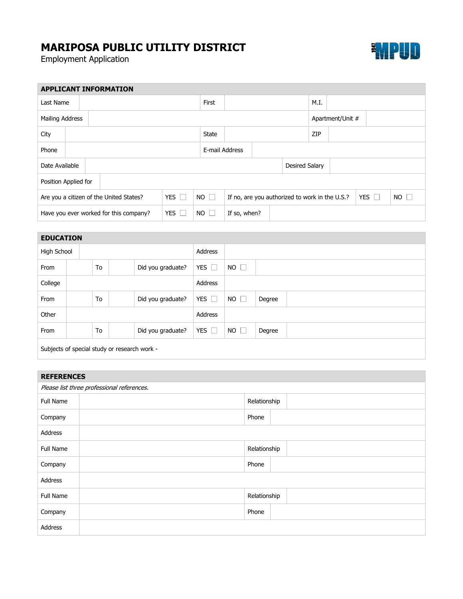## **MARIPOSA PUBLIC UTILITY DISTRICT**

Employment Application



| <b>APPLICANT INFORMATION</b>            |  |  |            |             |                                                |                |  |                |      |                  |             |  |  |  |
|-----------------------------------------|--|--|------------|-------------|------------------------------------------------|----------------|--|----------------|------|------------------|-------------|--|--|--|
| Last Name                               |  |  |            |             |                                                |                |  |                | M.I. |                  |             |  |  |  |
| Mailing Address                         |  |  |            |             |                                                |                |  |                |      | Apartment/Unit # |             |  |  |  |
| City                                    |  |  |            |             | State                                          |                |  |                | ZIP  |                  |             |  |  |  |
| Phone                                   |  |  |            |             |                                                | E-mail Address |  |                |      |                  |             |  |  |  |
| Date Available                          |  |  |            |             |                                                |                |  | Desired Salary |      |                  |             |  |  |  |
| Position Applied for                    |  |  |            |             |                                                |                |  |                |      |                  |             |  |  |  |
| Are you a citizen of the United States? |  |  | YES $\Box$ | $NO$ $\Box$ | If no, are you authorized to work in the U.S.? |                |  |                |      | YES $\Box$       | $NO$ $\Box$ |  |  |  |
| Have you ever worked for this company?  |  |  | YES $\Box$ | $NO$ $\Box$ | If so, when?                                   |                |  |                |      |                  |             |  |  |  |

| <b>EDUCATION</b>                             |  |    |  |                   |               |             |        |  |
|----------------------------------------------|--|----|--|-------------------|---------------|-------------|--------|--|
| High School                                  |  |    |  |                   | Address       |             |        |  |
| From                                         |  | To |  | Did you graduate? | YES $\Box$    | $NO$ $\Box$ |        |  |
| College                                      |  |    |  |                   | Address       |             |        |  |
| From                                         |  | To |  | Did you graduate? | YES $\Box$    | $NO$ $\Box$ | Degree |  |
| Other                                        |  |    |  |                   | Address       |             |        |  |
| From                                         |  | To |  | Did you graduate? | YES $\square$ | $NO$ $\Box$ | Degree |  |
| Subjects of special study or research work - |  |    |  |                   |               |             |        |  |

| <b>REFERENCES</b>                          |              |              |  |  |  |
|--------------------------------------------|--------------|--------------|--|--|--|
| Please list three professional references. |              |              |  |  |  |
| Full Name                                  |              | Relationship |  |  |  |
| Company                                    | Phone        |              |  |  |  |
| Address                                    |              |              |  |  |  |
| Full Name                                  | Relationship |              |  |  |  |
| Company                                    | Phone        |              |  |  |  |
| Address                                    |              |              |  |  |  |
| Full Name                                  | Relationship |              |  |  |  |
| Company                                    | Phone        |              |  |  |  |
| Address                                    |              |              |  |  |  |